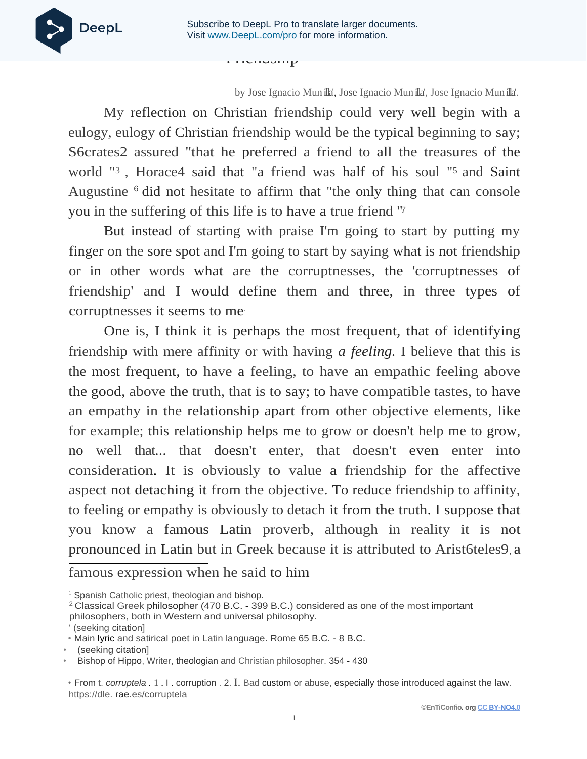**Friending** 



by Jose Ignacio Mun illa', Jose Ignacio Mun illa', Jose Ignacio Mun illa'.

My reflection on Christian friendship could very well begin with a eulogy, eulogy of Christian friendship would be the typical beginning to say; S6crates2 assured "that he preferred a friend to all the treasures of the world "3 , Horace4 said that "a friend was half of his soul "5 and Saint Augustine 6 did not hesitate to affirm that "the only thing that can console you in the suffering of this life is to have a true friend " 7.

But instead of starting with praise I'm going to start by putting my finger on the sore spot and I'm going to start by saying what is not friendship or in other words what are the corruptnesses, the 'corruptnesses of friendship' and I would define them and three, in three types of corruptnesses it seems to me.

One is, I think it is perhaps the most frequent, that of identifying friendship with mere affinity or with having *a feeling.* I believe that this is the most frequent, to have a feeling, to have an empathic feeling above the good, above the truth, that is to say; to have compatible tastes, to have an empathy in the relationship apart from other objective elements, like for example; this relationship helps me to grow or doesn't help me to grow, no well that... that doesn't enter, that doesn't even enter into consideration. It is obviously to value a friendship for the affective aspect not detaching it from the objective. To reduce friendship to affinity, to feeling or empathy is obviously to detach it from the truth. I suppose that you know a famous Latin proverb, although in reality it is not pronounced in Latin but in Greek because it is attributed to Arist6teles9, a

famous expression when he said to him

<sup>&</sup>lt;sup>1</sup> Spanish Catholic priest, theologian and bishop.

<sup>2</sup>Classical Greek philosopher (470 B.C. - 399 B.C.) considered as one of the most important

philosophers, both in Western and universal philosophy.

<sup>(</sup>seeking citation)

<sup>•</sup> Main lyric and satirical poet in Latin language. Rome 65 B.C. - 8 B.C.

<sup>•</sup> (seeking citation]

<sup>•</sup> Bishop of Hippo, Writer, theologian and Christian philosopher. 354 - 430

<sup>•</sup> From t. *corruptela .* 1 . I . corruption . 2. I. Bad custom or abuse, especially those introduced against the law. https://dle. rae.es/corruptela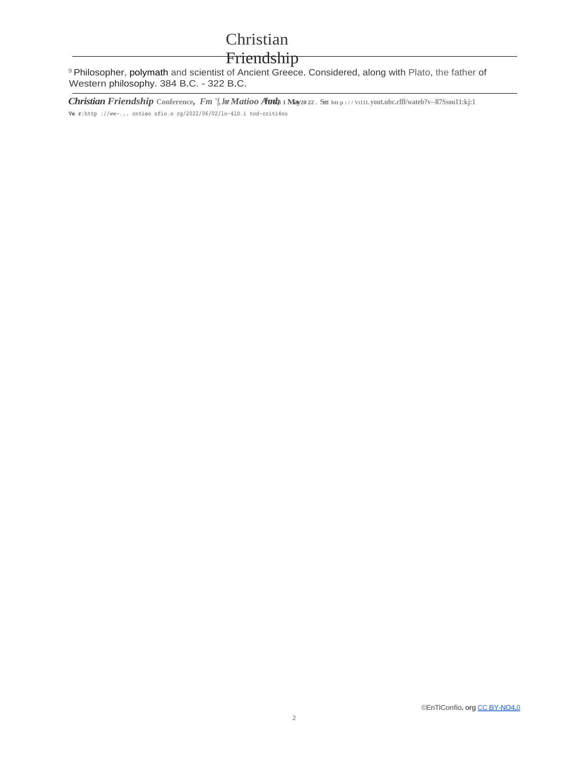## Friendship

<sup>9</sup> Philosopher, polymath and scientist of Ancient Greece. Considered, along with Plato, the father of Western philosophy. 384 B.C. - 322 B.C.

Christian Friendship Conference, Fm "f, Jor Matioo Auds 1 May20 22. See btt p://Vt111.yout.ubc.cffl/wateb?v--ll7Ssou11:kj:1 Ve r:http://ww-.,. cntieo nfio.o  $rg/2022/06/02/10-41D.i$  tod-criti4no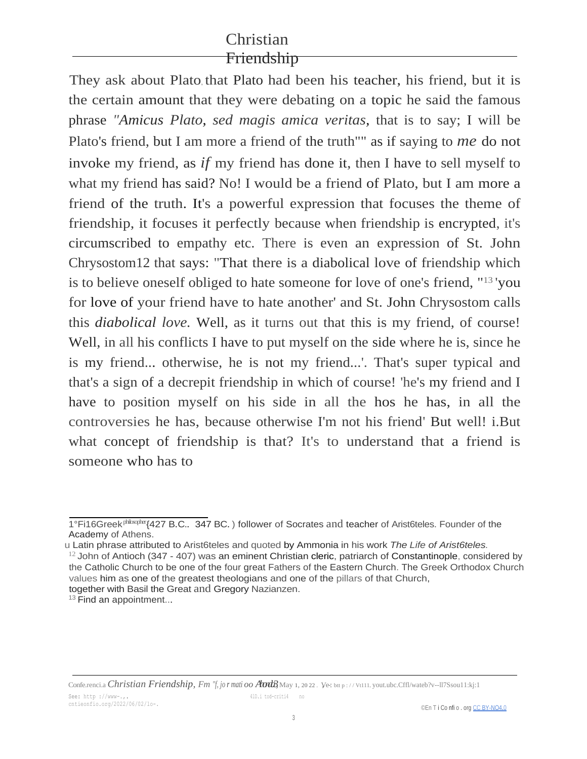They ask about Plato, that Plato had been his teacher, his friend, but it is the certain amount that they were debating on a topic he said the famous phrase *"Amicus Plato, sed magis amica veritas,* that is to say; I will be Plato's friend, but I am more a friend of the truth"" as if saying to *me* do not invoke my friend, as *if* my friend has done it, then I have to sell myself to what my friend has said? No! I would be a friend of Plato, but I am more a friend of the truth. It's a powerful expression that focuses the theme of friendship, it focuses it perfectly because when friendship is encrypted, it's circumscribed to empathy etc. There is even an expression of St. John Chrysostom12 that says: "That there is a diabolical love of friendship which is to believe oneself obliged to hate someone for love of one's friend, "13 'you for love of your friend have to hate another' and St. John Chrysostom calls this *diabolical love.* Well, as it turns out that this is my friend, of course! Well, in all his conflicts I have to put myself on the side where he is, since he is my friend... otherwise, he is not my friend...'. That's super typical and that's a sign of a decrepit friendship in which of course! 'he's my friend and I have to position myself on his side in all the hos he has, in all the controversies he has, because otherwise I'm not his friend' But well! i.But what concept of friendship is that? It's to understand that a friend is someone who has to

<sup>1°</sup>Fi16Greek<sup>philoxpher</sup> {427 B.C.. 347 BC.) follower of Socrates and teacher of Arist6teles. Founder of the Academy of Athens.

u Latin phrase attributed to Arist6teles and quoted by Ammonia in his work *The Life of Arist6teles.*

 $12$  John of Antioch (347 - 407) was an eminent Christian cleric, patriarch of Constantinople, considered by the Catholic Church to be one of the four great Fathers of the Eastern Church. The Greek Orthodox Church values him as one of the greatest theologians and one of the pillars of that Church, together with Basil the Great and Gregory Nazianzen.

<sup>&</sup>lt;sup>13</sup> Find an appointment...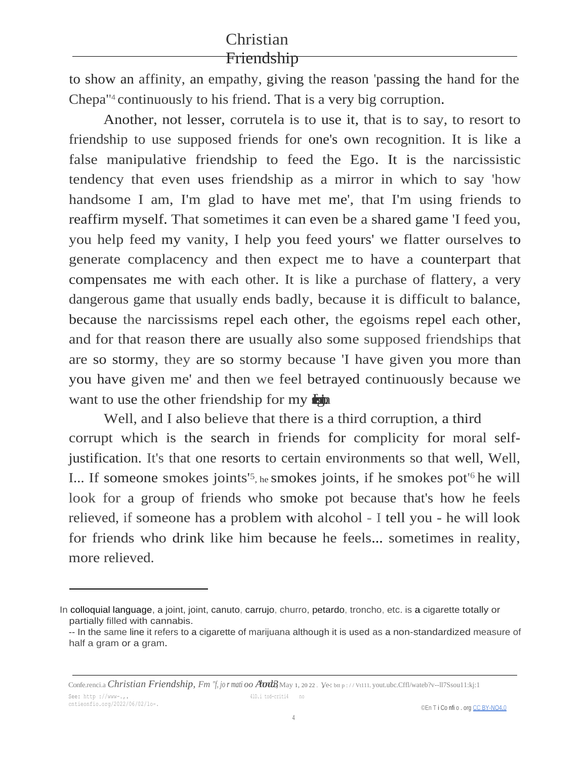to show an affinity, an empathy, giving the reason 'passing the hand for the Chepa<sup>"4</sup> continuously to his friend. That is a very big corruption.

Another, not lesser, corrutela is to use it, that is to say, to resort to friendship to use supposed friends for one's own recognition. It is like a false manipulative friendship to feed the Ego. It is the narcissistic tendency that even uses friendship as a mirror in which to say 'how handsome I am, I'm glad to have met me', that I'm using friends to reaffirm myself. That sometimes it can even be a shared game 'I feed you, you help feed my vanity, I help you feed yours' we flatter ourselves to generate complacency and then expect me to have a counterpart that compensates me with each other. It is like a purchase of flattery, a very dangerous game that usually ends badly, because it is difficult to balance, because the narcissisms repel each other, the egoisms repel each other, and for that reason there are usually also some supposed friendships that are so stormy, they are so stormy because 'I have given you more than you have given me' and then we feel betrayed continuously because we want to use the other friendship for my  $\lim_{\epsilon \to 0}$ 

Well, and I also believe that there is a third corruption, a third corrupt which is the search in friends for complicity for moral selfjustification. It's that one resorts to certain environments so that well, Well, I... If someone smokes joints'<sup>5</sup>, he smokes joints, if he smokes pot<sup>'6</sup> he will look for a group of friends who smoke pot because that's how he feels relieved, if someone has a problem with alcohol - I tell you - he will look for friends who drink like him because he feels... sometimes in reality, more relieved.

In colloquial language, a joint, joint, canuto, carrujo, churro, petardo, troncho, etc. is a cigarette totally or partially filled with cannabis.

<sup>--</sup> In the same line it refers to a cigarette of marijuana although it is used as a non-standardized measure of half a gram or a gram.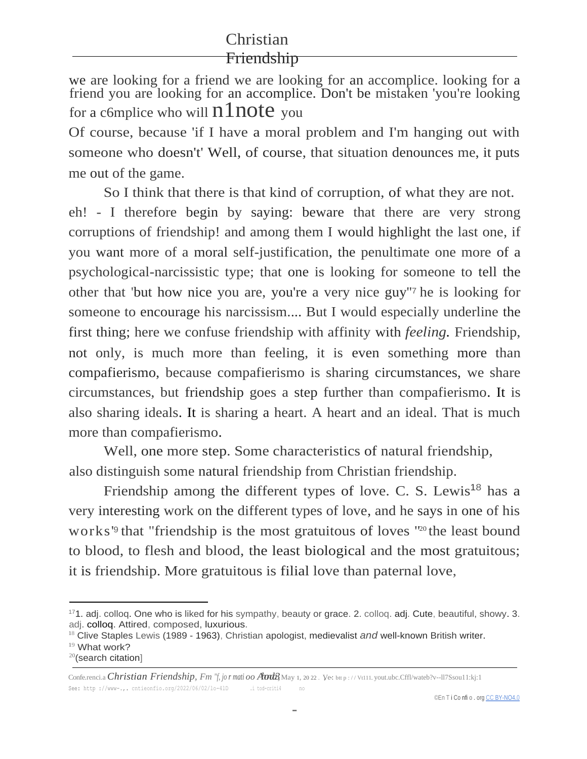we are looking for a friend we are looking for an accomplice. looking for a friend you are looking for an accomplice. Don't be mistaken 'you're looking for a c6mplice who will  $n1note$  you

Of course, because 'if I have a moral problem and I'm hanging out with someone who doesn't' Well, of course, that situation denounces me, it puts me out of the game.

So I think that there is that kind of corruption, of what they are not. eh! - I therefore begin by saying: beware that there are very strong corruptions of friendship! and among them I would highlight the last one, if you want more of a moral self-justification, the penultimate one more of a psychological-narcissistic type; that one is looking for someone to tell the other that 'but how nice you are, you're a very nice guy'' <sup>7</sup>he is looking for someone to encourage his narcissism.... But I would especially underline the first thing; here we confuse friendship with affinity with *feeling.* Friendship, not only, is much more than feeling, it is even something more than compafierismo, because compafierismo is sharing circumstances, we share circumstances, but friendship goes a step further than compafierismo. It is also sharing ideals. It is sharing a heart. A heart and an ideal. That is much more than compafierismo.

Well, one more step. Some characteristics of natural friendship, also distinguish some natural friendship from Christian friendship.

Friendship among the different types of love. C. S. Lewis<sup>18</sup> has a very interesting work on the different types of love, and he says in one of his works'<sup>9</sup> that "friendship is the most gratuitous of loves "<sup>20</sup> the least bound to blood, to flesh and blood, the least biological and the most gratuitous; it is friendship. More gratuitous is filial love than paternal love,

<sup>17</sup>1. adj. colloq. One who is liked for his sympathy, beauty or grace. 2. colloq. adj. Cute, beautiful, showy. 3. adj. colloq. Attired, composed, luxurious.

<sup>18</sup> Clive Staples Lewis (1989 - 1963), Christian apologist, medievalist *and* well-known British writer.

<sup>&</sup>lt;sup>19</sup> What work?

<sup>20</sup>(search citation]

Confe.renci.a *Christian Friendship, Fm "f, jo r mati oo Atrica May 1, 20 22. Ve: btt p://Vt111.yout.ubc.Cffl/wateb?v--ll7Ssou11:kj:1* See: http ://www-.,. cntieonfio.org/2022/06/02/1o-41D .i tod-criti4 no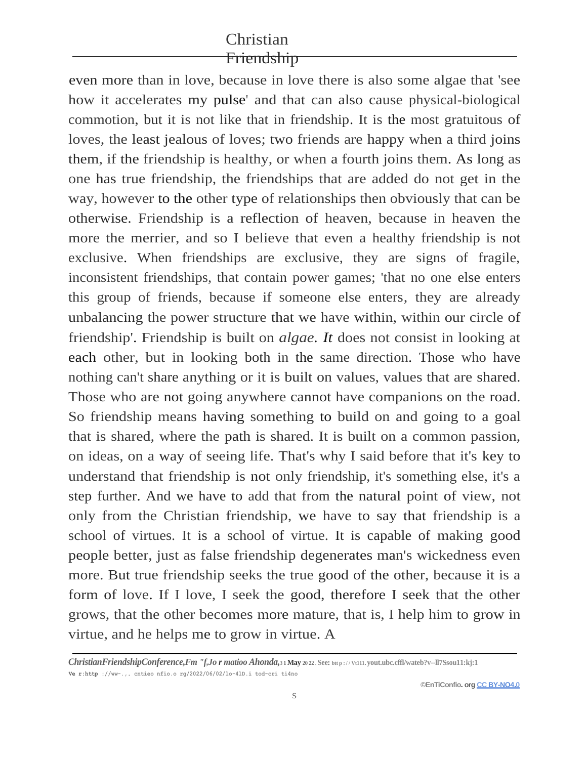even more than in love, because in love there is also some algae that 'see how it accelerates my pulse' and that can also cause physical-biological commotion, but it is not like that in friendship. It is the most gratuitous of loves, the least jealous of loves; two friends are happy when a third joins them, if the friendship is healthy, or when a fourth joins them. As long as one has true friendship, the friendships that are added do not get in the way, however to the other type of relationships then obviously that can be otherwise. Friendship is a reflection of heaven, because in heaven the more the merrier, and so I believe that even a healthy friendship is not exclusive. When friendships are exclusive, they are signs of fragile, inconsistent friendships, that contain power games; 'that no one else enters this group of friends, because if someone else enters, they are already unbalancing the power structure that we have within, within our circle of friendship'. Friendship is built on *algae. It* does not consist in looking at each other, but in looking both in the same direction. Those who have nothing can't share anything or it is built on values, values that are shared. Those who are not going anywhere cannot have companions on the road. So friendship means having something to build on and going to a goal that is shared, where the path is shared. It is built on a common passion, on ideas, on a way of seeing life. That's why I said before that it's key to understand that friendship is not only friendship, it's something else, it's a step further. And we have to add that from the natural point of view, not only from the Christian friendship, we have to say that friendship is a school of virtues. It is a school of virtue. It is capable of making good people better, just as false friendship degenerates man's wickedness even more. But true friendship seeks the true good of the other, because it is a form of love. If I love, I seek the good, therefore I seek that the other grows, that the other becomes more mature, that is, I help him to grow in virtue, and he helps me to grow in virtue. A

*ChristianFriendshipConference,Fm "f,Jo r matioo Ahonda,***3 1 May 20 22 . See: btt p : / / Vt111. yout.ubc.cffl/wateb?v--ll7Ssou11:kj:1 Ve r:http ://ww-.,. cntieo nfio.o rg/2022/06/02/lo-4lD.i tod-cri ti4no**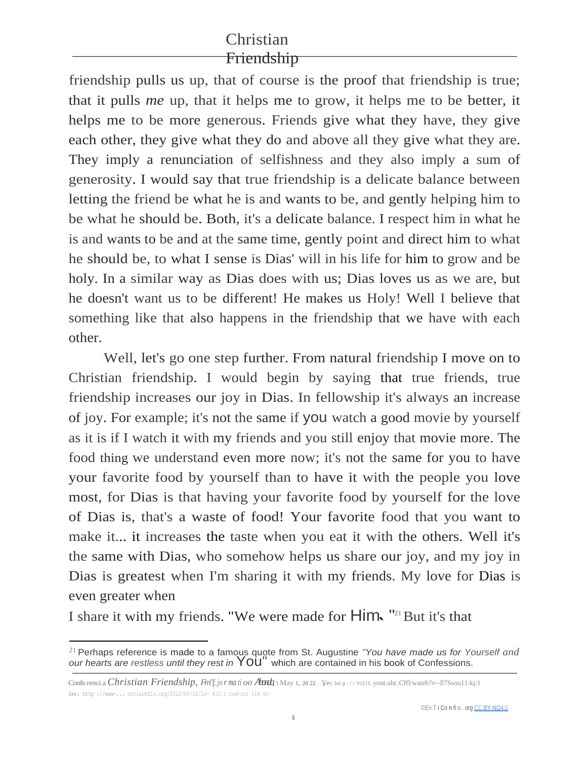friendship pulls us up, that of course is the proof that friendship is true; that it pulls *me* up, that it helps me to grow, it helps me to be better, it helps me to be more generous. Friends give what they have, they give each other, they give what they do and above all they give what they are. They imply a renunciation of selfishness and they also imply a sum of generosity. I would say that true friendship is a delicate balance between letting the friend be what he is and wants to be, and gently helping him to be what he should be. Both, it's a delicate balance. I respect him in what he is and wants to be and at the same time, gently point and direct him to what he should be, to what I sense is Dias' will in his life for him to grow and be holy. In a similar way as Dias does with us; Dias loves us as we are, but he doesn't want us to be different! He makes us Holy! Well I believe that something like that also happens in the friendship that we have with each other.

Well, let's go one step further. From natural friendship I move on to Christian friendship. I would begin by saying that true friends, true friendship increases our joy in Dias. In fellowship it's always an increase of joy. For example; it's not the same if you watch a good movie by yourself as it is if I watch it with my friends and you still enjoy that movie more. The food thing we understand even more now; it's not the same for you to have your favorite food by yourself than to have it with the people you love most, for Dias is that having your favorite food by yourself for the love of Dias is, that's a waste of food! Your favorite food that you want to make it... it increases the taste when you eat it with the others. Well it's the same with Dias, who somehow helps us share our joy, and my joy in Dias is greatest when I'm sharing it with my friends. My love for Dias is even greater when

I share it with my friends. "We were made for **Him.** "<sup>21</sup> But it's that

<sup>21</sup>Perhaps reference is made to a famous quote from St. Augustine *"You have made us for Yourself and our hearts are restless until they rest in* You" which are contained in his book of Confessions.

Confe.renci.a *Christian Friendship, Fm<sup>"</sup>f, jor ma ti oo Avit 3 May 1, 20 22. Ve: btt p://Vt111.yout.ubc.Cffl/wateb?v--ll7Ssou11:kj:1* See: http ://www-.,. cntieonfio.org/2022/06/02/lo- 4lD.i tod-cri ti4 no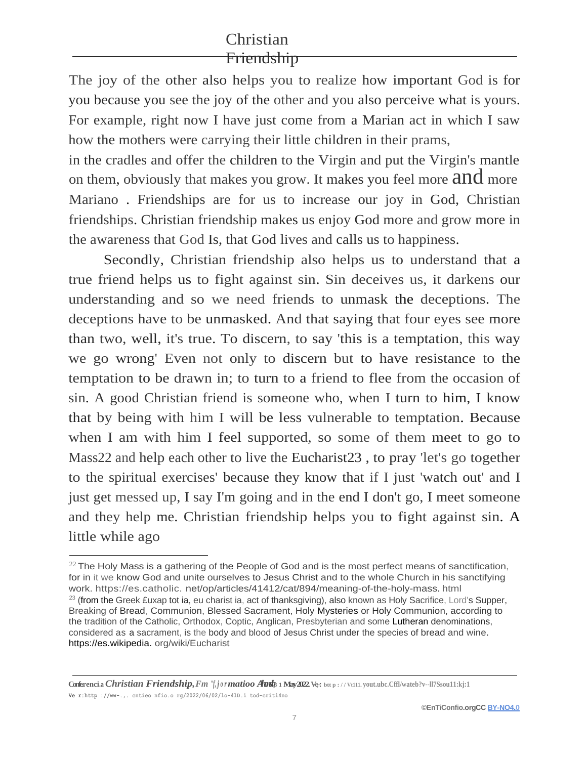The joy of the other also helps you to realize how important God is for you because you see the joy of the other and you also perceive what is yours. For example, right now I have just come from a Marian act in which I saw how the mothers were carrying their little children in their prams,

in the cradles and offer the children to the Virgin and put the Virgin's mantle on them, obviously that makes you grow. It makes you feel more and more Mariano . Friendships are for us to increase our joy in God, Christian friendships. Christian friendship makes us enjoy God more and grow more in the awareness that God Is, that God lives and calls us to happiness.

Secondly, Christian friendship also helps us to understand that a true friend helps us to fight against sin. Sin deceives us, it darkens our understanding and so we need friends to unmask the deceptions. The deceptions have to be unmasked. And that saying that four eyes see more than two, well, it's true. To discern, to say 'this is a temptation, this way we go wrong' Even not only to discern but to have resistance to the temptation to be drawn in; to turn to a friend to flee from the occasion of sin. A good Christian friend is someone who, when I turn to him, I know that by being with him I will be less vulnerable to temptation. Because when I am with him I feel supported, so some of them meet to go to Mass22 and help each other to live the Eucharist23 , to pray 'let's go together to the spiritual exercises' because they know that if I just 'watch out' and I just get messed up, I say I'm going and in the end I don't go, I meet someone and they help me. Christian friendship helps you to fight against sin. A little while ago

**Conferenci.a** *Christian Friendship, Fm "f, j or matioo Audg* **1 May 2022 Ve, but p://Vt111. yout.ubc.Cffl/wateb?v--ll7Ssou11:kj:1 Ve r:http ://ww-.,. cntieo nfio.o rg/2022/06/02/lo-4lD.i tod-criti4no**

 $^{22}$  The Holy Mass is a gathering of the People of God and is the most perfect means of sanctification, for in it we know God and unite ourselves to Jesus Christ and to the whole Church in his sanctifying work. https://es.catholic. net/op/articles/41412/cat/894/meaning-of-the-holy-mass. html  $23$  (from the Greek £uxap tot ia, eu charist ia, act of thanksgiving), also known as Holy Sacrifice, Lord's Supper, Breaking of Bread, Communion, Blessed Sacrament, Holy Mysteries or Holy Communion, according to the tradition of the Catholic, Orthodox, Coptic, Anglican, Presbyterian and some Lutheran denominations, considered as a sacrament, is the body and blood of Jesus Christ under the species of bread and wine. https://es.wikipedia. org/wiki/Eucharist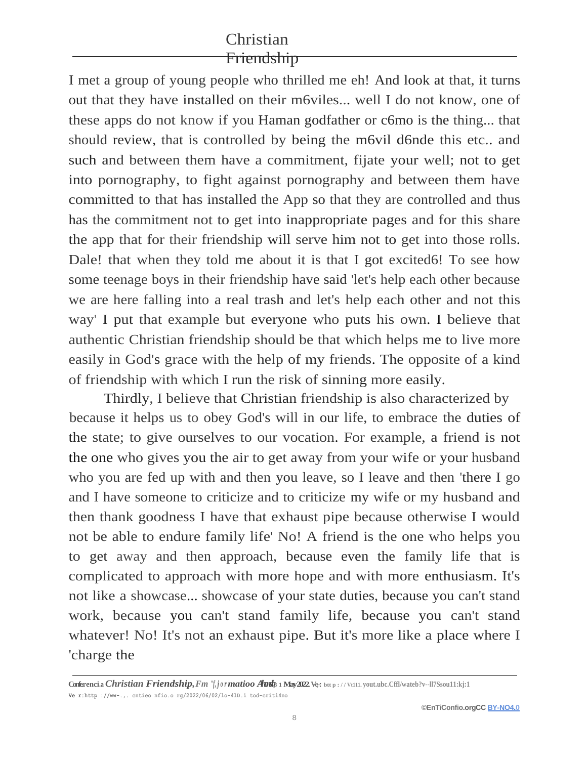I met a group of young people who thrilled me eh! And look at that, it turns out that they have installed on their m6viles... well I do not know, one of these apps do not know if you Haman godfather or c6mo is the thing... that should review, that is controlled by being the m6vil d6nde this etc.. and such and between them have a commitment, fijate your well; not to get into pornography, to fight against pornography and between them have committed to that has installed the App so that they are controlled and thus has the commitment not to get into inappropriate pages and for this share the app that for their friendship will serve him not to get into those rolls. Dale! that when they told me about it is that I got excited6! To see how some teenage boys in their friendship have said 'let's help each other because we are here falling into a real trash and let's help each other and not this way' I put that example but everyone who puts his own. I believe that authentic Christian friendship should be that which helps me to live more easily in God's grace with the help of my friends. The opposite of a kind of friendship with which I run the risk of sinning more easily.

Thirdly, I believe that Christian friendship is also characterized by because it helps us to obey God's will in our life, to embrace the duties of the state; to give ourselves to our vocation. For example, a friend is not the one who gives you the air to get away from your wife or your husband who you are fed up with and then you leave, so I leave and then 'there I go and I have someone to criticize and to criticize my wife or my husband and then thank goodness I have that exhaust pipe because otherwise I would not be able to endure family life' No! A friend is the one who helps you to get away and then approach, because even the family life that is complicated to approach with more hope and with more enthusiasm. It's not like a showcase... showcase of your state duties, because you can't stand work, because you can't stand family life, because you can't stand whatever! No! It's not an exhaust pipe. But it's more like a place where I 'charge the

**Confe. renci.a** *Christian Friendship,Fm "f, j o r matioo Ahonda,* **3 1 May 2022.Ve,-: btt p : / / Vt111. yout.ubc.Cffl/wateb?v--ll7Ssou11:kj:1 Ve r:http ://ww-.,. cntieo nfio.o rg/2022/06/02/lo-4lD.i tod-criti4no**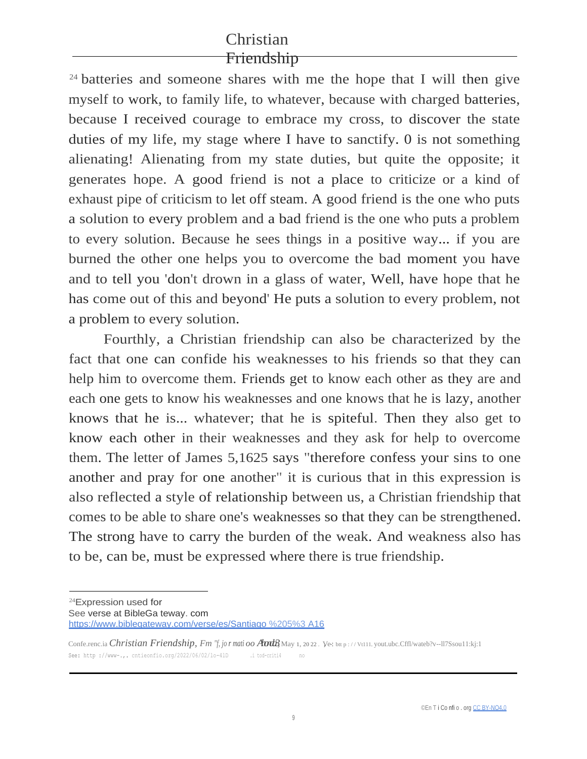<sup>24</sup> batteries and someone shares with me the hope that I will then give myself to work, to family life, to whatever, because with charged batteries, because I received courage to embrace my cross, to discover the state duties of my life, my stage where I have to sanctify. 0 is not something alienating! Alienating from my state duties, but quite the opposite; it generates hope. A good friend is not a place to criticize or a kind of exhaust pipe of criticism to let off steam. A good friend is the one who puts a solution to every problem and a bad friend is the one who puts a problem to every solution. Because he sees things in a positive way... if you are burned the other one helps you to overcome the bad moment you have and to tell you 'don't drown in a glass of water, Well, have hope that he has come out of this and beyond' He puts a solution to every problem, not a problem to every solution.

Fourthly, a Christian friendship can also be characterized by the fact that one can confide his weaknesses to his friends so that they can help him to overcome them. Friends get to know each other as they are and each one gets to know his weaknesses and one knows that he is lazy, another knows that he is... whatever; that he is spiteful. Then they also get to know each other in their weaknesses and they ask for help to overcome them. The letter of James 5,1625 says "therefore confess your sins to one another and pray for one another" it is curious that in this expression is also reflected a style of relationship between us, a Christian friendship that comes to be able to share one's weaknesses so that they can be strengthened. The strong have to carry the burden of the weak. And weakness also has to be, can be, must be expressed where there is true friendship.

<sup>24</sup>Expression used for See verse at BibleGa teway. com [https://www.biblegateway.com/verse/es/Santiago %205%3 A16](https://www.biblegateway.com/verse/es/Santiago%205%3A16)

Confe.renc.ia *Christian Friendship, Fm "f, jor mati oo Atrica May 1, 2022. Ve: bup://Vt111.yout.ubc.Cffl/wateb?v--ll7Ssou11:kj:1* See: http ://www-.,. cntieonfio.org/2022/06/02/1o-41D .i tod-criti4 no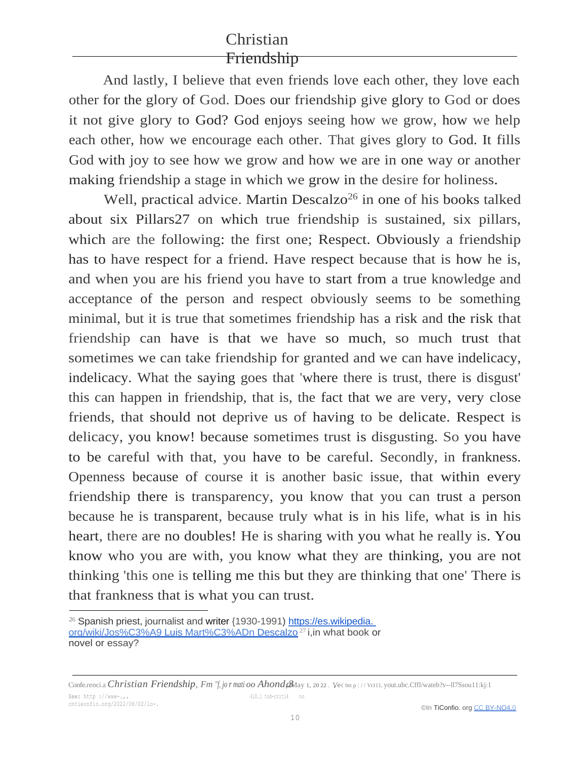And lastly, I believe that even friends love each other, they love each other for the glory of God. Does our friendship give glory to God or does it not give glory to God? God enjoys seeing how we grow, how we help each other, how we encourage each other. That gives glory to God. It fills God with joy to see how we grow and how we are in one way or another making friendship a stage in which we grow in the desire for holiness.

Well, practical advice. Martin Descalzo<sup>26</sup> in one of his books talked about six Pillars27 on which true friendship is sustained, six pillars, which are the following: the first one; Respect. Obviously a friendship has to have respect for a friend. Have respect because that is how he is, and when you are his friend you have to start from a true knowledge and acceptance of the person and respect obviously seems to be something minimal, but it is true that sometimes friendship has a risk and the risk that friendship can have is that we have so much, so much trust that sometimes we can take friendship for granted and we can have indelicacy, indelicacy. What the saying goes that 'where there is trust, there is disgust' this can happen in friendship, that is, the fact that we are very, very close friends, that should not deprive us of having to be delicate. Respect is delicacy, you know! because sometimes trust is disgusting. So you have to be careful with that, you have to be careful. Secondly, in frankness. Openness because of course it is another basic issue, that within every friendship there is transparency, you know that you can trust a person because he is transparent, because truly what is in his life, what is in his heart, there are no doubles! He is sharing with you what he really is. You know who you are with, you know what they are thinking, you are not thinking 'this one is telling me this but they are thinking that one' There is that frankness that is what you can trust.

Confe.renci.a *Christian Friendship, Fm "f, jor mati oo Ahond, a*May 1, 2022. Ve: bu p://Vt111.yout.ubc.Cffl/wateb?v--ll7Ssou11:kj:1 4lD.i tod-criti4 no

<sup>&</sup>lt;sup>26</sup> Spanish priest, journalist and writer {1930-1991) https://es.wikipedia. [org/wiki/Jos%C3%A9 Luis Mart%C3%ADn Descalzo](https://es.wikipedia.org/wiki/Jos%C3%A9_Luis_Mart%C3%ADn_Descalzo) <sup>27</sup>i,in what book or novel or essay?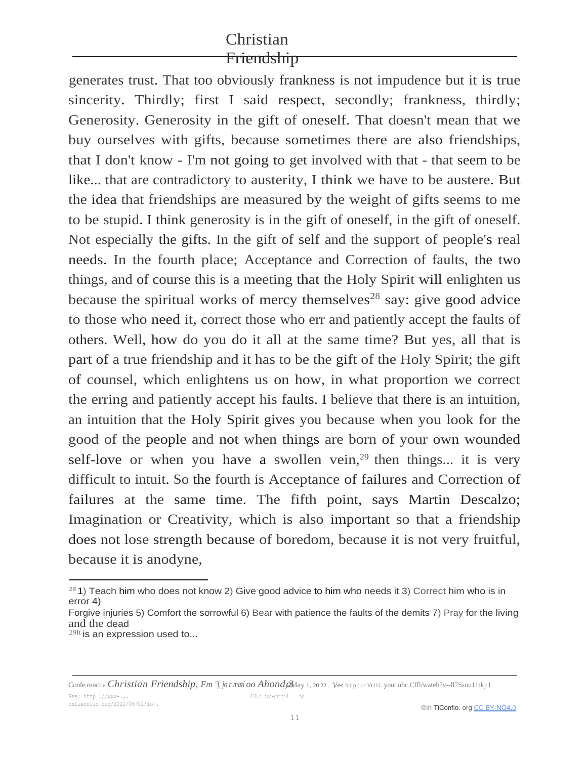generates trust. That too obviously frankness is not impudence but it is true sincerity. Thirdly; first I said respect, secondly; frankness, thirdly; Generosity. Generosity in the gift of oneself. That doesn't mean that we buy ourselves with gifts, because sometimes there are also friendships, that I don't know - I'm not going to get involved with that - that seem to be like... that are contradictory to austerity, I think we have to be austere. But the idea that friendships are measured by the weight of gifts seems to me to be stupid. I think generosity is in the gift of oneself, in the gift of oneself. Not especially the gifts. In the gift of self and the support of people's real needs. In the fourth place; Acceptance and Correction of faults, the two things, and of course this is a meeting that the Holy Spirit will enlighten us because the spiritual works of mercy themselves<sup>28</sup> say: give good advice to those who need it, correct those who err and patiently accept the faults of others. Well, how do you do it all at the same time? But yes, all that is part of a true friendship and it has to be the gift of the Holy Spirit; the gift of counsel, which enlightens us on how, in what proportion we correct the erring and patiently accept his faults. I believe that there is an intuition, an intuition that the Holy Spirit gives you because when you look for the good of the people and not when things are born of your own wounded self-love or when you have a swollen vein,<sup>29</sup> then things... it is very difficult to intuit. So the fourth is Acceptance of failures and Correction of failures at the same time. The fifth point, says Martin Descalzo; Imagination or Creativity, which is also important so that a friendship does not lose strength because of boredom, because it is not very fruitful, because it is anodyne,

 $281)$  Teach him who does not know 2) Give good advice to him who needs it 3) Correct him who is in error 4)

Forgive injuries 5) Comfort the sorrowful 6) Bear with patience the faults of the demits 7) Pray for the living and the dead

 $^{29}$ It is an expression used to...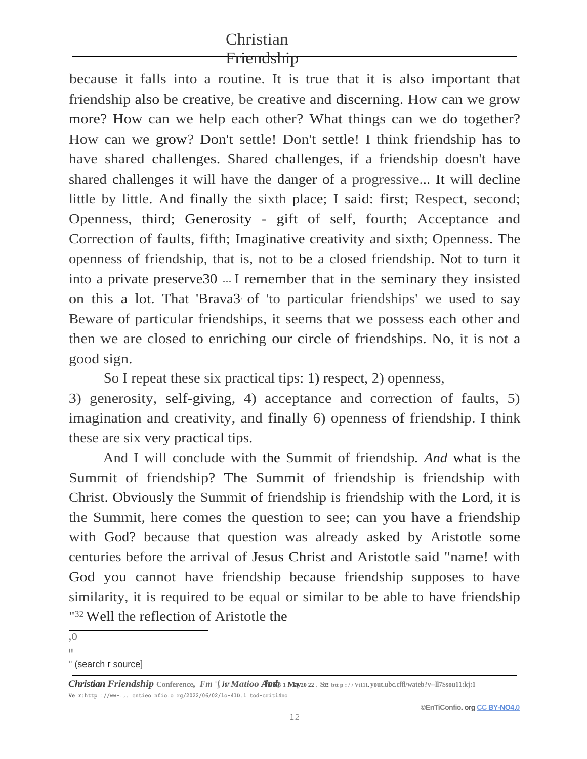because it falls into a routine. It is true that it is also important that friendship also be creative, be creative and discerning. How can we grow more? How can we help each other? What things can we do together? How can we grow? Don't settle! Don't settle! I think friendship has to have shared challenges. Shared challenges, if a friendship doesn't have shared challenges it will have the danger of a progressive... It will decline little by little. And finally the sixth place; I said: first; Respect, second; Openness, third; Generosity - gift of self, fourth; Acceptance and Correction of faults, fifth; Imaginative creativity and sixth; Openness. The openness of friendship, that is, not to be a closed friendship. Not to turn it into a private preserve  $30 - I$  remember that in the seminary they insisted on this a lot. That 'Brava3' of 'to particular friendships' we used to say Beware of particular friendships, it seems that we possess each other and then we are closed to enriching our circle of friendships. No, it is not a good sign.

So I repeat these six practical tips: 1) respect, 2) openness,

3) generosity, self-giving, 4) acceptance and correction of faults, 5) imagination and creativity, and finally 6) openness of friendship. I think these are six very practical tips.

And I will conclude with the Summit of friendship*. And* what is the Summit of friendship? The Summit of friendship is friendship with Christ. Obviously the Summit of friendship is friendship with the Lord, it is the Summit, here comes the question to see; can you have a friendship with God? because that question was already asked by Aristotle some centuries before the arrival of Jesus Christ and Aristotle said "name! with God you cannot have friendship because friendship supposes to have similarity, it is required to be equal or similar to be able to have friendship "<sup>32</sup> Well the reflection of Aristotle the

<sup>,</sup>o

<sup>&</sup>quot; " (search r source]

*Christian Friendship* Conference, *Fm "f, Jor Matioo Aards* 1 May 20 22 . See btt p : // Vt111. yout.ubc.cffl/wateb?v--ll7Ssou11:kj:1 **Ve r:http ://ww-.,. cntieo nfio.o rg/2022/06/02/lo-4lD.i tod-criti4no**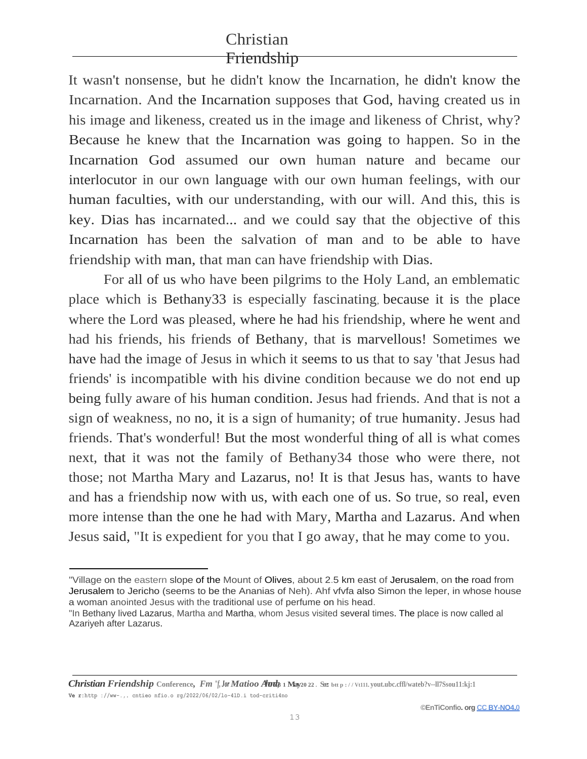It wasn't nonsense, but he didn't know the Incarnation, he didn't know the Incarnation. And the Incarnation supposes that God, having created us in his image and likeness, created us in the image and likeness of Christ, why? Because he knew that the Incarnation was going to happen. So in the Incarnation God assumed our own human nature and became our interlocutor in our own language with our own human feelings, with our human faculties, with our understanding, with our will. And this, this is key. Dias has incarnated... and we could say that the objective of this Incarnation has been the salvation of man and to be able to have friendship with man, that man can have friendship with Dias.

For all of us who have been pilgrims to the Holy Land, an emblematic place which is Bethany33 is especially fascinating, because it is the place where the Lord was pleased, where he had his friendship, where he went and had his friends, his friends of Bethany, that is marvellous! Sometimes we have had the image of Jesus in which it seems to us that to say 'that Jesus had friends' is incompatible with his divine condition because we do not end up being fully aware of his human condition. Jesus had friends. And that is not a sign of weakness, no no, it is a sign of humanity; of true humanity. Jesus had friends. That's wonderful! But the most wonderful thing of all is what comes next, that it was not the family of Bethany34 those who were there, not those; not Martha Mary and Lazarus, no! It is that Jesus has, wants to have and has a friendship now with us, with each one of us. So true, so real, even more intense than the one he had with Mary, Martha and Lazarus. And when Jesus said, "It is expedient for you that I go away, that he may come to you.

*Christian Friendship* Conference, *Fm "f, Jor Matioo Aunt |* 1 May 20 22 . See btt p : // Vt111. yout.ubc.cffl/wateb?v--ll7Ssou11:kj:1 **Ve r:http ://ww-.,. cntieo nfio.o rg/2022/06/02/lo-4lD.i tod-criti4no**

<sup>&</sup>quot;Village on the eastern slope of the Mount of Olives, about 2.5 km east of Jerusalem, on the road from Jerusalem to Jericho (seems to be the Ananias of Neh). Ahf vfvfa also Simon the leper, in whose house a woman anointed Jesus with the traditional use of perfume on his head.

<sup>&</sup>quot;In Bethany lived Lazarus, Martha and Martha, whom Jesus visited several times. The place is now called al Azariyeh after Lazarus.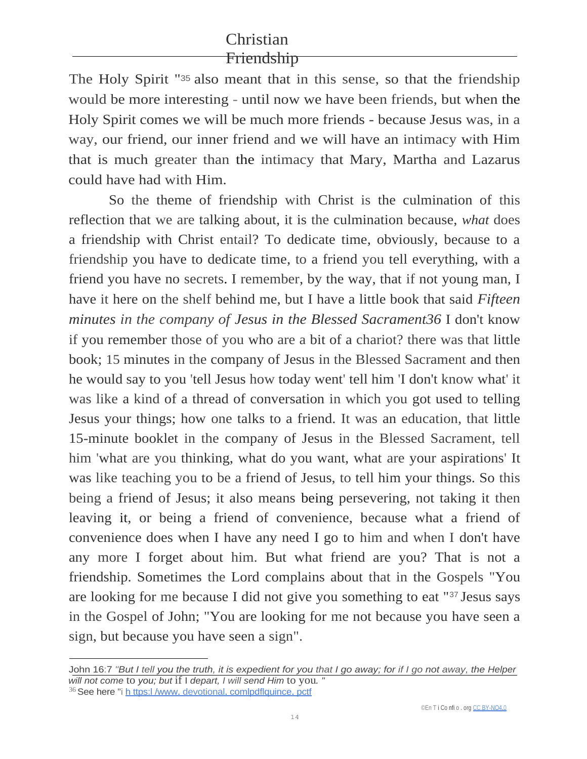The Holy Spirit "35 also meant that in this sense, so that the friendship would be more interesting - until now we have been friends, but when the Holy Spirit comes we will be much more friends - because Jesus was, in a way, our friend, our inner friend and we will have an intimacy with Him that is much greater than the intimacy that Mary, Martha and Lazarus could have had with Him.

So the theme of friendship with Christ is the culmination of this reflection that we are talking about, it is the culmination because, *what* does a friendship with Christ entail? To dedicate time, obviously, because to a friendship you have to dedicate time, to a friend you tell everything, with a friend you have no secrets. I remember, by the way, that if not young man, I have it here on the shelf behind me, but I have a little book that said *Fifteen minutes in the company of Jesus in the Blessed Sacrament36* I don't know if you remember those of you who are a bit of a chariot? there was that little book; 15 minutes in the company of Jesus in the Blessed Sacrament and then he would say to you 'tell Jesus how today went' tell him 'I don't know what' it was like a kind of a thread of conversation in which you got used to telling Jesus your things; how one talks to a friend. It was an education, that little 15-minute booklet in the company of Jesus in the Blessed Sacrament, tell him 'what are you thinking, what do you want, what are your aspirations' It was like teaching you to be a friend of Jesus, to tell him your things. So this being a friend of Jesus; it also means being persevering, not taking it then leaving it, or being a friend of convenience, because what a friend of convenience does when I have any need I go to him and when I don't have any more I forget about him. But what friend are you? That is not a friendship. Sometimes the Lord complains about that in the Gospels "You are looking for me because I did not give you something to eat "37 Jesus says in the Gospel of John; "You are looking for me not because you have seen a sign, but because you have seen a sign".

John 16:7 *"But I tell you the truth, it is expedient for you that I go away; for if I go not away, the Helper will not come* to *you; but* if I *depart, I will send Him* to you*. "*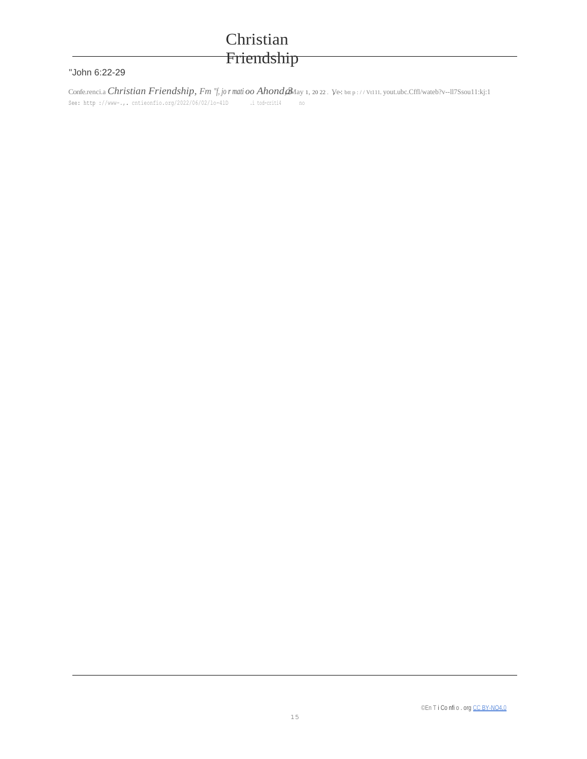#### "John 6:22-29

Conferenci.a Christian Friendship, Fm "f, jor matioo Ahond aMay 1, 2022. Ve: bup://Vt111.yout.ubc.Cffl/wateb?v--117Ssou11:kj:1 See: http://www-.,.cntieonfio.org/2022/06/02/1o-41D i tod-criti4.  $\mathfrak{no}$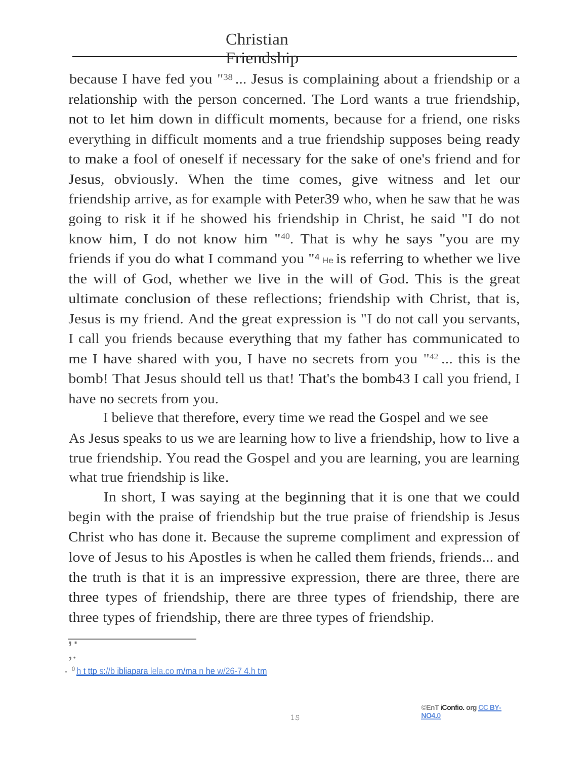because I have fed you "<sup>38</sup> ... Jesus is complaining about a friendship or a relationship with the person concerned. The Lord wants a true friendship, not to let him down in difficult moments, because for a friend, one risks everything in difficult moments and a true friendship supposes being ready to make a fool of oneself if necessary for the sake of one's friend and for Jesus, obviously. When the time comes, give witness and let our friendship arrive, as for example with Peter39 who, when he saw that he was going to risk it if he showed his friendship in Christ, he said "I do not know him, I do not know him "40. That is why he says "you are my friends if you do what I command you  $\mathbb{I}^4$  He is referring to whether we live the will of God, whether we live in the will of God. This is the great ultimate conclusion of these reflections; friendship with Christ, that is, Jesus is my friend. And the great expression is "I do not call you servants, I call you friends because everything that my father has communicated to me I have shared with you, I have no secrets from you " <sup>42</sup>... this is the bomb! That Jesus should tell us that! That's the bomb43 I call you friend, I have no secrets from you.

I believe that therefore, every time we read the Gospel and we see As Jesus speaks to us we are learning how to live a friendship, how to live a true friendship. You read the Gospel and you are learning, you are learning what true friendship is like.

In short, I was saying at the beginning that it is one that we could begin with the praise of friendship but the true praise of friendship is Jesus Christ who has done it. Because the supreme compliment and expression of love of Jesus to his Apostles is when he called them friends, friends... and the truth is that it is an impressive expression, there are three, there are three types of friendship, there are three types of friendship, there are three types of friendship, there are three types of friendship.

<sup>,.</sup>

<sup>,&</sup>lt;br>,

<sup>. &</sup>lt;sup>0</sup> [h t ttp s://b ibliapara lela.co m/ma n he w/26-7 4.h tm](https://bibliaparalela.com/matthew/26-74.htm)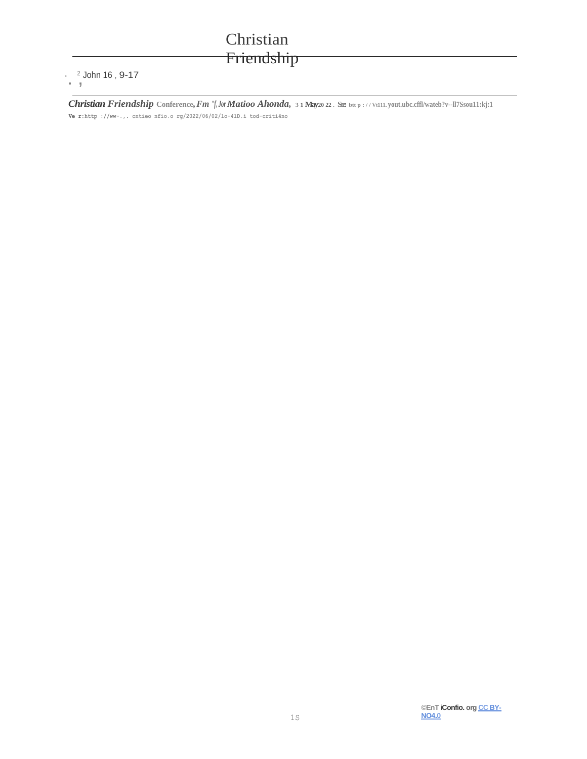#### $\cdot$   $2$  John 16, 9-17  $\sim$   $\sigma$

Christian Friendship Conference, Fm "f, Jor Matioo Ahonda, 31 May20 22. See btt p://Vt111.yout.ubc.cffl/wateb?v--ll7Ssou11:kj:1 Ver:http://ww-.,.cntieonfio.org/2022/06/02/1o-41D.itod-criti4no